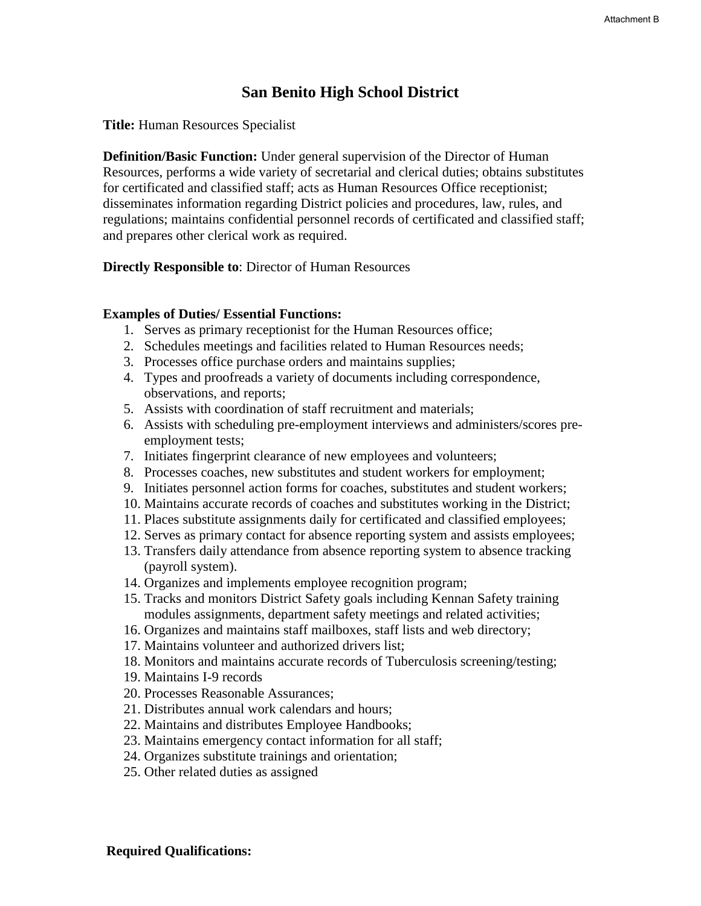# **San Benito High School District**

**Title:** Human Resources Specialist

**Definition/Basic Function:** Under general supervision of the Director of Human Resources, performs a wide variety of secretarial and clerical duties; obtains substitutes for certificated and classified staff; acts as Human Resources Office receptionist; disseminates information regarding District policies and procedures, law, rules, and regulations; maintains confidential personnel records of certificated and classified staff; and prepares other clerical work as required.

**Directly Responsible to**: Director of Human Resources

#### **Examples of Duties/ Essential Functions:**

- 1. Serves as primary receptionist for the Human Resources office;
- 2. Schedules meetings and facilities related to Human Resources needs;
- 3. Processes office purchase orders and maintains supplies;
- 4. Types and proofreads a variety of documents including correspondence, observations, and reports;
- 5. Assists with coordination of staff recruitment and materials;
- 6. Assists with scheduling pre-employment interviews and administers/scores preemployment tests;
- 7. Initiates fingerprint clearance of new employees and volunteers;
- 8. Processes coaches, new substitutes and student workers for employment;
- 9. Initiates personnel action forms for coaches, substitutes and student workers;
- 10. Maintains accurate records of coaches and substitutes working in the District;
- 11. Places substitute assignments daily for certificated and classified employees;
- 12. Serves as primary contact for absence reporting system and assists employees;
- 13. Transfers daily attendance from absence reporting system to absence tracking (payroll system).
- 14. Organizes and implements employee recognition program;
- 15. Tracks and monitors District Safety goals including Kennan Safety training modules assignments, department safety meetings and related activities;
- 16. Organizes and maintains staff mailboxes, staff lists and web directory;
- 17. Maintains volunteer and authorized drivers list;
- 18. Monitors and maintains accurate records of Tuberculosis screening/testing;
- 19. Maintains I-9 records
- 20. Processes Reasonable Assurances;
- 21. Distributes annual work calendars and hours;
- 22. Maintains and distributes Employee Handbooks;
- 23. Maintains emergency contact information for all staff;
- 24. Organizes substitute trainings and orientation;
- 25. Other related duties as assigned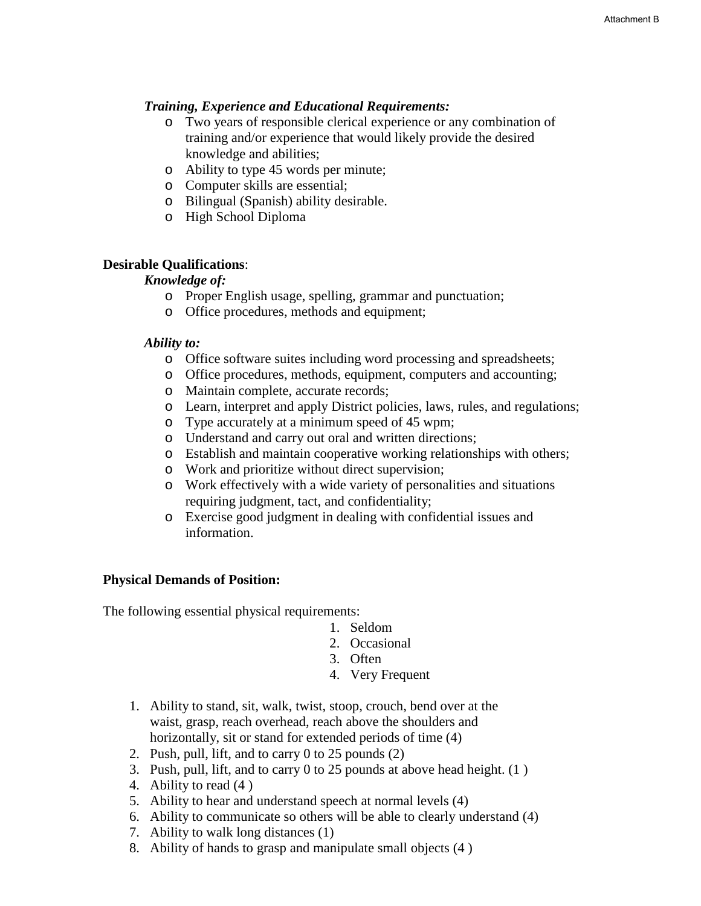### *Training, Experience and Educational Requirements:*

- o Two years of responsible clerical experience or any combination of training and/or experience that would likely provide the desired knowledge and abilities;
- o Ability to type 45 words per minute;
- o Computer skills are essential;
- o Bilingual (Spanish) ability desirable.
- o High School Diploma

### **Desirable Qualifications**:

#### *Knowledge of:*

- o Proper English usage, spelling, grammar and punctuation;
- o Office procedures, methods and equipment;

#### *Ability to:*

- o Office software suites including word processing and spreadsheets;
- o Office procedures, methods, equipment, computers and accounting;
- o Maintain complete, accurate records;
- o Learn, interpret and apply District policies, laws, rules, and regulations;
- o Type accurately at a minimum speed of 45 wpm;
- o Understand and carry out oral and written directions;
- o Establish and maintain cooperative working relationships with others;
- o Work and prioritize without direct supervision;
- o Work effectively with a wide variety of personalities and situations requiring judgment, tact, and confidentiality;
- o Exercise good judgment in dealing with confidential issues and information.

#### **Physical Demands of Position:**

The following essential physical requirements:

- 1. Seldom
- 2. Occasional
- 3. Often
- 4. Very Frequent
- 1. Ability to stand, sit, walk, twist, stoop, crouch, bend over at the waist, grasp, reach overhead, reach above the shoulders and horizontally, sit or stand for extended periods of time  $(4)$
- 2. Push, pull, lift, and to carry 0 to 25 pounds (2)
- 3. Push, pull, lift, and to carry 0 to 25 pounds at above head height. (1 )
- 4. Ability to read (4 )
- 5. Ability to hear and understand speech at normal levels (4)
- 6. Ability to communicate so others will be able to clearly understand (4)
- 7. Ability to walk long distances (1)
- 8. Ability of hands to grasp and manipulate small objects (4 )